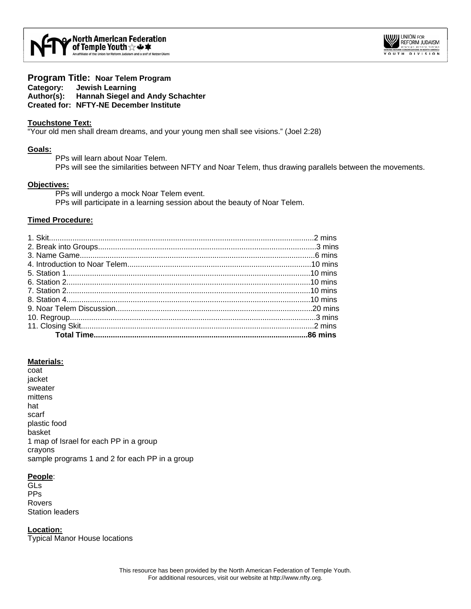

# **Program Title: Noar Telem Program**

**Category: Jewish Learning Author(s): Hannah Siegel and Andy Schachter** 

# **Created for: NFTY-NE December Institute**

# **Touchstone Text:**

"Your old men shall dream dreams, and your young men shall see visions." (Joel 2:28)

# **Goals:**

PPs will learn about Noar Telem. PPs will see the similarities between NFTY and Noar Telem, thus drawing parallels between the movements.

# **Objectives:**

PPs will undergo a mock Noar Telem event.

PPs will participate in a learning session about the beauty of Noar Telem.

# **Timed Procedure:**

# **Materials:**

coat jacket sweater mittens hat scarf plastic food basket 1 map of Israel for each PP in a group crayons sample programs 1 and 2 for each PP in a group

# **People**:

GLs PPs Rovers Station leaders

**Location:** Typical Manor House locations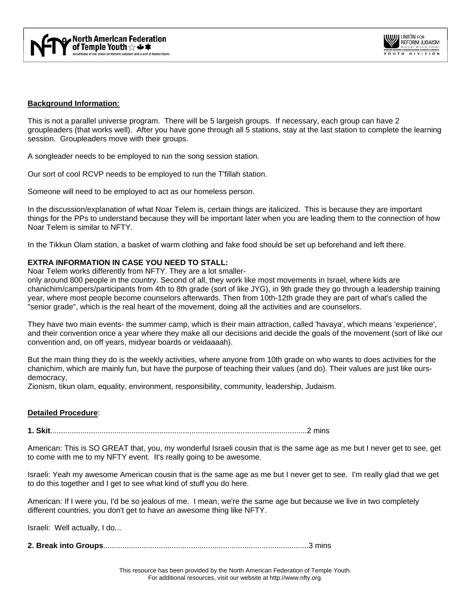

# **Background Information:**

This is not a parallel universe program. There will be 5 largeish groups. If necessary, each group can have 2 groupleaders (that works well). After you have gone through all 5 stations, stay at the last station to complete the learning session. Groupleaders move with their groups.

A songleader needs to be employed to run the song session station.

Our sort of cool RCVP needs to be employed to run the T'fillah station.

Someone will need to be employed to act as our homeless person.

In the discussion/explanation of what Noar Telem is, certain things are italicized. This is because they are important things for the PPs to understand because they will be important later when you are leading them to the connection of how Noar Telem is similar to NFTY.

In the Tikkun Olam station, a basket of warm clothing and fake food should be set up beforehand and left there.

## **EXTRA INFORMATION IN CASE YOU NEED TO STALL:**

Noar Telem works differently from NFTY. They are a lot smaller-

only around 800 people in the country. Second of all, they work like most movements in Israel, where kids are chanichim/campers/participants from 4th to 8th grade (sort of like JYG), in 9th grade they go through a leadership training year, where most people become counselors afterwards. Then from 10th-12th grade they are part of what's called the "senior grade", which is the real heart of the movement, doing all the activities and are counselors.

They have two main events- the summer camp, which is their main attraction, called 'havaya', which means 'experience', and their convention once a year where they make all our decisions and decide the goals of the movement (sort of like our convention and, on off years, midyear boards or veidaaaah).

But the main thing they do is the weekly activities, where anyone from 10th grade on who wants to does activities for the chanichim, which are mainly fun, but have the purpose of teaching their values (and do). Their values are just like oursdemocracy,

Zionism, tikun olam, equality, environment, responsibility, community, leadership, Judaism.

## **Detailed Procedure**:

**1. Skit**........................................................................................................................2 mins

American: This is SO GREAT that, you, my wonderful Israeli cousin that is the same age as me but I never get to see, get to come with me to my NFTY event. It's really going to be awesome.

Israeli: Yeah my awesome American cousin that is the same age as me but I never get to see. I'm really glad that we get to do this together and I get to see what kind of stuff you do here.

American: If I were you, I'd be so jealous of me. I mean, we're the same age but because we live in two completely different countries, you don't get to have an awesome thing like NFTY.

Israeli: Well actually, I do...

**2. Break into Groups**................................................................................................3 mins

This resource has been provided by the North American Federation of Temple Youth. For additional resources, visit our website at http://www.nfty.org.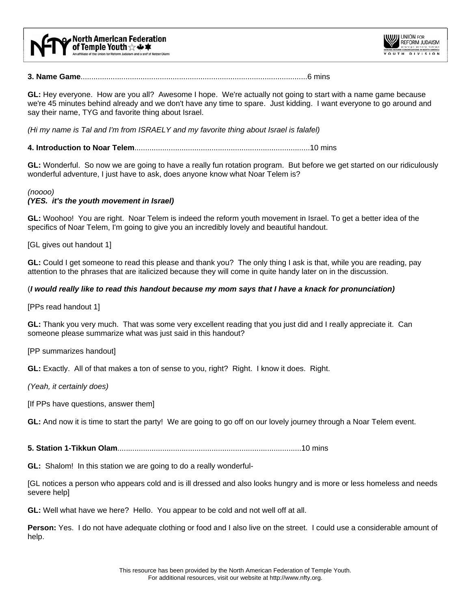



**3. Name Game**..........................................................................................................6 mins

**GL:** Hey everyone. How are you all? Awesome I hope. We're actually not going to start with a name game because we're 45 minutes behind already and we don't have any time to spare. Just kidding. I want everyone to go around and say their name, TYG and favorite thing about Israel.

*(Hi my name is Tal and I'm from ISRAELY and my favorite thing about Israel is falafel)* 

**4. Introduction to Noar Telem**..................................................................................10 mins

**GL:** Wonderful. So now we are going to have a really fun rotation program. But before we get started on our ridiculously wonderful adventure, I just have to ask, does anyone know what Noar Telem is?

#### *(noooo)*

## *(YES. it's the youth movement in Israel)*

**GL:** Woohoo! You are right. Noar Telem is indeed the reform youth movement in Israel. To get a better idea of the specifics of Noar Telem, I'm going to give you an incredibly lovely and beautiful handout.

[GL gives out handout 1]

**GL:** Could I get someone to read this please and thank you? The only thing I ask is that, while you are reading, pay attention to the phrases that are italicized because they will come in quite handy later on in the discussion.

#### (*I would really like to read this handout because my mom says that I have a knack for pronunciation)*

[PPs read handout 1]

**GL:** Thank you very much. That was some very excellent reading that you just did and I really appreciate it. Can someone please summarize what was just said in this handout?

[PP summarizes handout]

**GL:** Exactly. All of that makes a ton of sense to you, right? Right. I know it does. Right.

*(Yeah, it certainly does)* 

[If PPs have questions, answer them]

**GL:** And now it is time to start the party! We are going to go off on our lovely journey through a Noar Telem event.

**5. Station 1-Tikkun Olam**......................................................................................10 mins

**GL:** Shalom! In this station we are going to do a really wonderful-

[GL notices a person who appears cold and is ill dressed and also looks hungry and is more or less homeless and needs severe help]

**GL:** Well what have we here? Hello. You appear to be cold and not well off at all.

**Person:** Yes. I do not have adequate clothing or food and I also live on the street. I could use a considerable amount of help.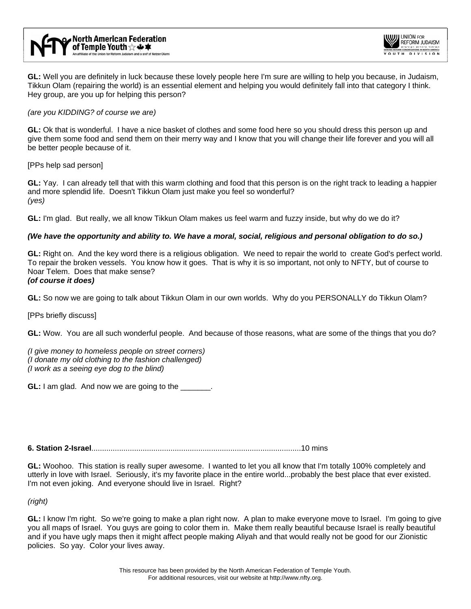

**GL:** Well you are definitely in luck because these lovely people here I'm sure are willing to help you because, in Judaism, Tikkun Olam (repairing the world) is an essential element and helping you would definitely fall into that category I think. Hey group, are you up for helping this person?

# *(are you KIDDING? of course we are)*

**GL:** Ok that is wonderful. I have a nice basket of clothes and some food here so you should dress this person up and give them some food and send them on their merry way and I know that you will change their life forever and you will all be better people because of it.

[PPs help sad person]

**GL:** Yay. I can already tell that with this warm clothing and food that this person is on the right track to leading a happier and more splendid life. Doesn't Tikkun Olam just make you feel so wonderful? *(yes)*

**GL:** I'm glad. But really, we all know Tikkun Olam makes us feel warm and fuzzy inside, but why do we do it?

# *(We have the opportunity and ability to. We have a moral, social, religious and personal obligation to do so.)*

**GL:** Right on. And the key word there is a religious obligation. We need to repair the world to create God's perfect world. To repair the broken vessels. You know how it goes. That is why it is so important, not only to NFTY, but of course to Noar Telem. Does that make sense? *(of course it does)* 

**GL:** So now we are going to talk about Tikkun Olam in our own worlds. Why do you PERSONALLY do Tikkun Olam?

[PPs briefly discuss]

**GL:** Wow. You are all such wonderful people. And because of those reasons, what are some of the things that you do?

*(I give money to homeless people on street corners) (I donate my old clothing to the fashion challenged) (I work as a seeing eye dog to the blind)*

**GL:** I am glad. And now we are going to the

**6. Station 2-Israel**..................................................................................................10 mins

**GL:** Woohoo. This station is really super awesome. I wanted to let you all know that I'm totally 100% completely and utterly in love with Israel. Seriously, it's my favorite place in the entire world...probably the best place that ever existed. I'm not even joking. And everyone should live in Israel. Right?

*(right)* 

**GL:** I know I'm right. So we're going to make a plan right now. A plan to make everyone move to Israel. I'm going to give you all maps of Israel. You guys are going to color them in. Make them really beautiful because Israel is really beautiful and if you have ugly maps then it might affect people making Aliyah and that would really not be good for our Zionistic policies. So yay. Color your lives away.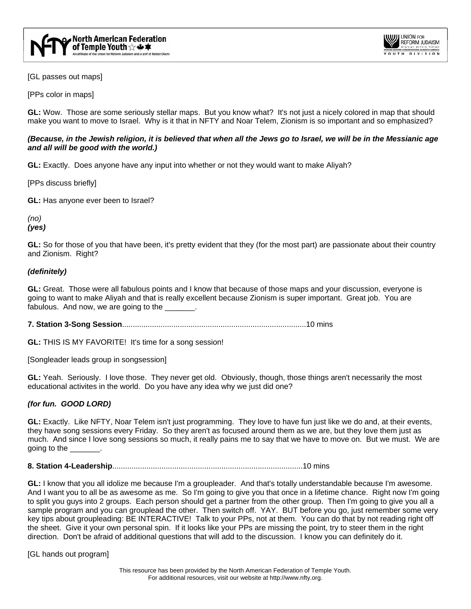

[GL passes out maps]

[PPs color in maps]

**GL:** Wow. Those are some seriously stellar maps. But you know what? It's not just a nicely colored in map that should make you want to move to Israel. Why is it that in NFTY and Noar Telem, Zionism is so important and so emphasized?

# *(Because, in the Jewish religion, it is believed that when all the Jews go to Israel, we will be in the Messianic age and all will be good with the world.)*

**GL:** Exactly. Does anyone have any input into whether or not they would want to make Aliyah?

[PPs discuss briefly]

**GL:** Has anyone ever been to Israel?

*(no) (yes)* 

**GL:** So for those of you that have been, it's pretty evident that they (for the most part) are passionate about their country and Zionism. Right?

## *(definitely)*

**GL:** Great. Those were all fabulous points and I know that because of those maps and your discussion, everyone is going to want to make Aliyah and that is really excellent because Zionism is super important. Great job. You are fabulous. And now, we are going to the \_\_\_\_\_\_.

**7. Station 3-Song Session**......................................................................................10 mins

**GL:** THIS IS MY FAVORITE! It's time for a song session!

[Songleader leads group in songsession]

**GL:** Yeah. Seriously. I love those. They never get old. Obviously, though, those things aren't necessarily the most educational activites in the world. Do you have any idea why we just did one?

## *(for fun. GOOD LORD)*

**GL:** Exactly. Like NFTY, Noar Telem isn't just programming. They love to have fun just like we do and, at their events, they have song sessions every Friday. So they aren't as focused around them as we are, but they love them just as much. And since I love song sessions so much, it really pains me to say that we have to move on. But we must. We are going to the \_\_\_\_\_\_\_.

**8. Station 4-Leadership**.........................................................................................10 mins

**GL:** I know that you all idolize me because I'm a groupleader. And that's totally understandable because I'm awesome. And I want you to all be as awesome as me. So I'm going to give you that once in a lifetime chance. Right now I'm going to split you guys into 2 groups. Each person should get a partner from the other group. Then I'm going to give you all a sample program and you can grouplead the other. Then switch off. YAY. BUT before you go, just remember some very key tips about groupleading: BE INTERACTIVE! Talk to your PPs, not at them. You can do that by not reading right off the sheet. Give it your own personal spin. If it looks like your PPs are missing the point, try to steer them in the right direction. Don't be afraid of additional questions that will add to the discussion. I know you can definitely do it.

[GL hands out program]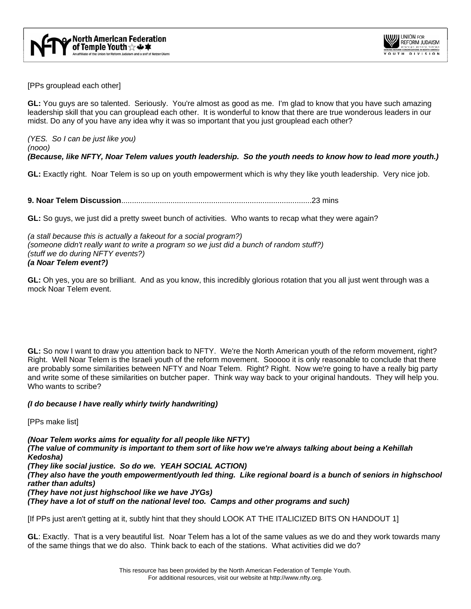

[PPs grouplead each other]

**GL:** You guys are so talented. Seriously. You're almost as good as me. I'm glad to know that you have such amazing leadership skill that you can grouplead each other. It is wonderful to know that there are true wonderous leaders in our midst. Do any of you have any idea why it was so important that you just grouplead each other?

*(YES. So I can be just like you) (nooo) (Because, like NFTY, Noar Telem values youth leadership. So the youth needs to know how to lead more youth.)* 

**GL:** Exactly right. Noar Telem is so up on youth empowerment which is why they like youth leadership. Very nice job.

**9. Noar Telem Discussion**.........................................................................................23 mins

**GL:** So guys, we just did a pretty sweet bunch of activities. Who wants to recap what they were again?

*(a stall because this is actually a fakeout for a social program?) (someone didn't really want to write a program so we just did a bunch of random stuff?) (stuff we do during NFTY events?) (a Noar Telem event?)*

**GL:** Oh yes, you are so brilliant. And as you know, this incredibly glorious rotation that you all just went through was a mock Noar Telem event.

**GL:** So now I want to draw you attention back to NFTY. We're the North American youth of the reform movement, right? Right. Well Noar Telem is the Israeli youth of the reform movement. Sooooo it is only reasonable to conclude that there are probably some similarities between NFTY and Noar Telem. Right? Right. Now we're going to have a really big party and write some of these similarities on butcher paper. Think way way back to your original handouts. They will help you. Who wants to scribe?

## *(I do because I have really whirly twirly handwriting)*

[PPs make list]

*(Noar Telem works aims for equality for all people like NFTY) (The value of community is important to them sort of like how we're always talking about being a Kehillah Kedosha) (They like social justice. So do we. YEAH SOCIAL ACTION) (They also have the youth empowerment/youth led thing. Like regional board is a bunch of seniors in highschool rather than adults) (They have not just highschool like we have JYGs) (They have a lot of stuff on the national level too. Camps and other programs and such)* 

[If PPs just aren't getting at it, subtly hint that they should LOOK AT THE ITALICIZED BITS ON HANDOUT 1]

**GL**: Exactly. That is a very beautiful list. Noar Telem has a lot of the same values as we do and they work towards many of the same things that we do also. Think back to each of the stations. What activities did we do?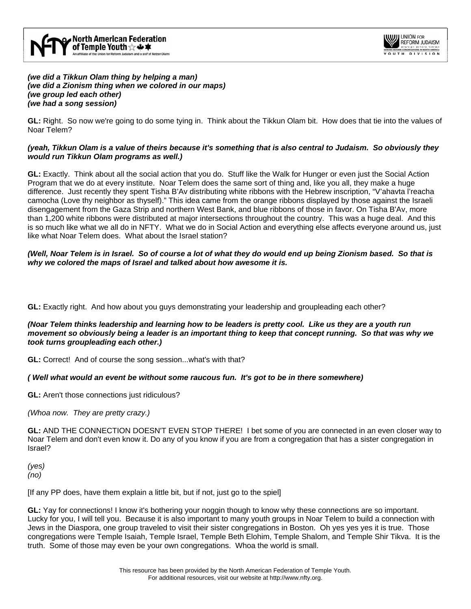

*(we did a Tikkun Olam thing by helping a man) (we did a Zionism thing when we colored in our maps) (we group led each other) (we had a song session)* 

**GL:** Right. So now we're going to do some tying in. Think about the Tikkun Olam bit. How does that tie into the values of Noar Telem?

# *(yeah, Tikkun Olam is a value of theirs because it's something that is also central to Judaism. So obviously they would run Tikkun Olam programs as well.)*

**GL:** Exactly. Think about all the social action that you do. Stuff like the Walk for Hunger or even just the Social Action Program that we do at every institute. Noar Telem does the same sort of thing and, like you all, they make a huge difference. Just recently they spent Tisha B'Av distributing white ribbons with the Hebrew inscription, "V'ahavta l'reacha camocha (Love thy neighbor as thyself)." This idea came from the orange ribbons displayed by those against the Israeli disengagement from the Gaza Strip and northern West Bank, and blue ribbons of those in favor. On Tisha B'Av, more than 1,200 white ribbons were distributed at major intersections throughout the country. This was a huge deal. And this is so much like what we all do in NFTY. What we do in Social Action and everything else affects everyone around us, just like what Noar Telem does. What about the Israel station?

*(Well, Noar Telem is in Israel. So of course a lot of what they do would end up being Zionism based. So that is why we colored the maps of Israel and talked about how awesome it is.* 

**GL:** Exactly right. And how about you guys demonstrating your leadership and groupleading each other?

# *(Noar Telem thinks leadership and learning how to be leaders is pretty cool. Like us they are a youth run movement so obviously being a leader is an important thing to keep that concept running. So that was why we took turns groupleading each other.)*

**GL:** Correct! And of course the song session...what's with that?

## *( Well what would an event be without some raucous fun. It's got to be in there somewhere)*

**GL:** Aren't those connections just ridiculous?

*(Whoa now. They are pretty crazy.)* 

**GL:** AND THE CONNECTION DOESN'T EVEN STOP THERE! I bet some of you are connected in an even closer way to Noar Telem and don't even know it. Do any of you know if you are from a congregation that has a sister congregation in Israel?

*(yes) (no)* 

[If any PP does, have them explain a little bit, but if not, just go to the spiel]

**GL:** Yay for connections! I know it's bothering your noggin though to know why these connections are so important. Lucky for you, I will tell you. Because it is also important to many youth groups in Noar Telem to build a connection with Jews in the Diaspora, one group traveled to visit their sister congregations in Boston. Oh yes yes yes it is true. Those congregations were Temple Isaiah, Temple Israel, Temple Beth Elohim, Temple Shalom, and Temple Shir Tikva. It is the truth. Some of those may even be your own congregations. Whoa the world is small.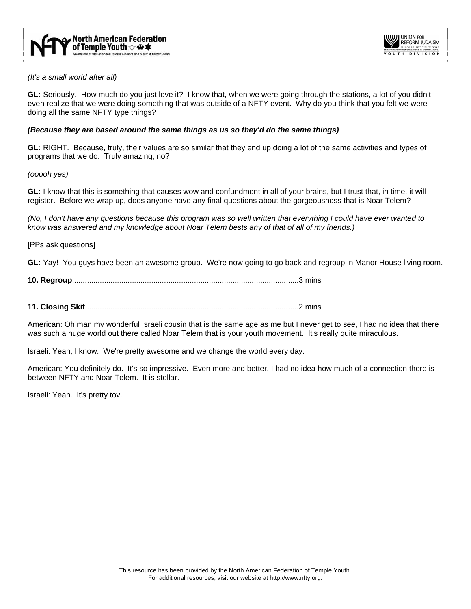

*(It's a small world after all)* 

**GL:** Seriously. How much do you just love it? I know that, when we were going through the stations, a lot of you didn't even realize that we were doing something that was outside of a NFTY event. Why do you think that you felt we were doing all the same NFTY type things?

## *(Because they are based around the same things as us so they'd do the same things)*

**GL:** RIGHT. Because, truly, their values are so similar that they end up doing a lot of the same activities and types of programs that we do. Truly amazing, no?

*(ooooh yes)* 

**GL:** I know that this is something that causes wow and confundment in all of your brains, but I trust that, in time, it will register. Before we wrap up, does anyone have any final questions about the gorgeousness that is Noar Telem?

*(No, I don't have any questions because this program was so well written that everything I could have ever wanted to know was answered and my knowledge about Noar Telem bests any of that of all of my friends.)* 

[PPs ask questions]

**GL:** Yay! You guys have been an awesome group. We're now going to go back and regroup in Manor House living room.

**10. Regroup**..........................................................................................................3 mins

**11. Closing Skit**....................................................................................................2 mins

American: Oh man my wonderful Israeli cousin that is the same age as me but I never get to see, I had no idea that there was such a huge world out there called Noar Telem that is your youth movement. It's really quite miraculous.

Israeli: Yeah, I know. We're pretty awesome and we change the world every day.

American: You definitely do. It's so impressive. Even more and better, I had no idea how much of a connection there is between NFTY and Noar Telem. It is stellar.

Israeli: Yeah. It's pretty tov.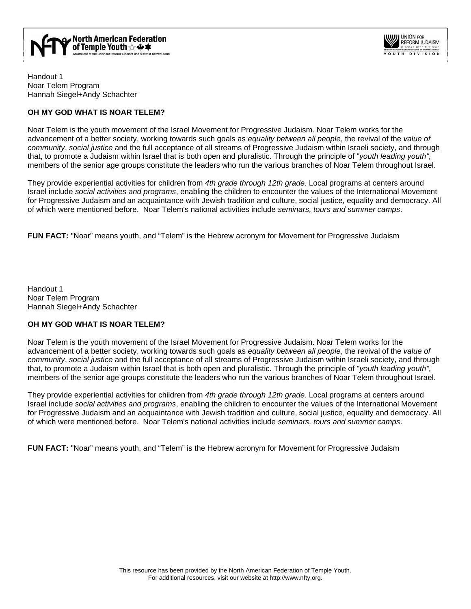



Handout 1 Noar Telem Program Hannah Siegel+Andy Schachter

# **OH MY GOD WHAT IS NOAR TELEM?**

Noar Telem is the youth movement of the Israel Movement for Progressive Judaism. Noar Telem works for the advancement of a better society, working towards such goals as *equality between all people*, the revival of the *value of community*, *social justice* and the full acceptance of all streams of Progressive Judaism within Israeli society, and through that, to promote a Judaism within Israel that is both open and pluralistic. Through the principle of "*youth leading youth",*  members of the senior age groups constitute the leaders who run the various branches of Noar Telem throughout Israel.

They provide experiential activities for children from *4th grade through 12th grade*. Local programs at centers around Israel include *social activities and programs*, enabling the children to encounter the values of the International Movement for Progressive Judaism and an acquaintance with Jewish tradition and culture, social justice, equality and democracy. All of which were mentioned before. Noar Telem's national activities include *seminars, tours and summer camps*.

**FUN FACT:** "Noar" means youth, and "Telem" is the Hebrew acronym for Movement for Progressive Judaism

Handout 1 Noar Telem Program Hannah Siegel+Andy Schachter

## **OH MY GOD WHAT IS NOAR TELEM?**

Noar Telem is the youth movement of the Israel Movement for Progressive Judaism. Noar Telem works for the advancement of a better society, working towards such goals as *equality between all people*, the revival of the *value of community*, *social justice* and the full acceptance of all streams of Progressive Judaism within Israeli society, and through that, to promote a Judaism within Israel that is both open and pluralistic. Through the principle of "*youth leading youth",*  members of the senior age groups constitute the leaders who run the various branches of Noar Telem throughout Israel.

They provide experiential activities for children from *4th grade through 12th grade*. Local programs at centers around Israel include *social activities and programs*, enabling the children to encounter the values of the International Movement for Progressive Judaism and an acquaintance with Jewish tradition and culture, social justice, equality and democracy. All of which were mentioned before. Noar Telem's national activities include *seminars, tours and summer camps*.

**FUN FACT:** "Noar" means youth, and "Telem" is the Hebrew acronym for Movement for Progressive Judaism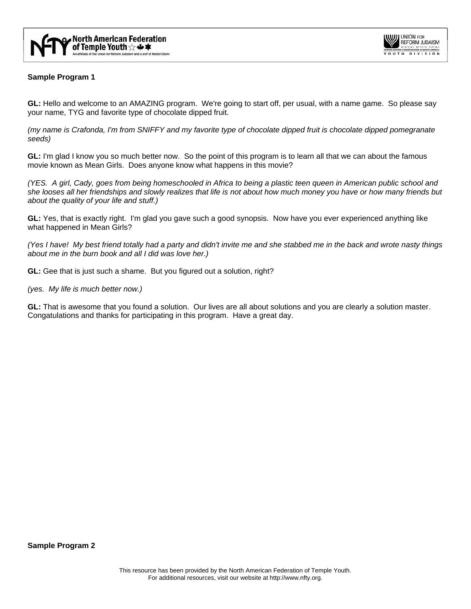



# **Sample Program 1**

**GL:** Hello and welcome to an AMAZING program. We're going to start off, per usual, with a name game. So please say your name, TYG and favorite type of chocolate dipped fruit.

*(my name is Crafonda, I'm from SNIFFY and my favorite type of chocolate dipped fruit is chocolate dipped pomegranate seeds)* 

**GL:** I'm glad I know you so much better now. So the point of this program is to learn all that we can about the famous movie known as Mean Girls. Does anyone know what happens in this movie?

*(YES. A girl, Cady, goes from being homeschooled in Africa to being a plastic teen queen in American public school and she looses all her friendships and slowly realizes that life is not about how much money you have or how many friends but about the quality of your life and stuff.)* 

**GL:** Yes, that is exactly right. I'm glad you gave such a good synopsis. Now have you ever experienced anything like what happened in Mean Girls?

*(Yes I have! My best friend totally had a party and didn't invite me and she stabbed me in the back and wrote nasty things about me in the burn book and all I did was love her.)* 

**GL:** Gee that is just such a shame. But you figured out a solution, right?

*(yes. My life is much better now.)* 

**GL:** That is awesome that you found a solution. Our lives are all about solutions and you are clearly a solution master. Congatulations and thanks for participating in this program. Have a great day.

**Sample Program 2**